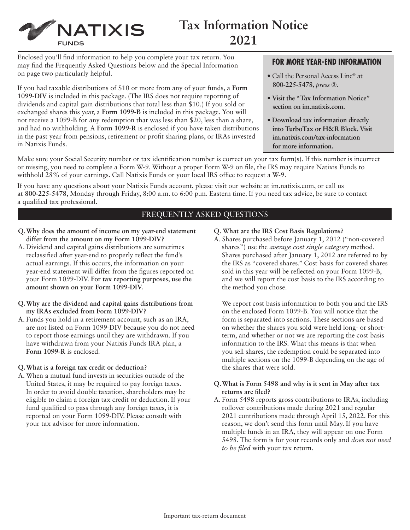

# **Tax Information Notice 2021**

Enclosed you'll find information to help you complete your tax return. You may find the Frequently Asked Questions below and the Special Information on page two particularly helpful.

If you had taxable distributions of \$10 or more from any of your funds, a **Form 1099-DIV** is included in this package. (The IRS does not require reporting of dividends and capital gain distributions that total less than \$10.) If you sold or exchanged shares this year, a **Form 1099-B** is included in this package. You will not receive a 1099-B for any redemption that was less than \$20, less than a share, and had no withholding. A **Form 1099-R** is enclosed if you have taken distributions in the past year from pensions, retirement or profit sharing plans, or IRAs invested in Natixis Funds.

# **FOR MORE YEAR-END INFORMATION**

- Call the Personal Access Line<sup>®</sup> at **800-225-5478**, *press* ➂.
- **Visit the "Tax Information Notice" section on [im.natixis.com.](http://im.natixis.com)**
- **Download tax information directly into TurboTax or H&R Block. Visit [im.natixis.com/tax-information](http://im.natixis.com/tax-information) for more information.**

Make sure your Social Security number or tax identification number is correct on your tax form(s). If this number is incorrect or missing, you need to complete a Form W-9. Without a proper Form W-9 on file, the IRS may require Natixis Funds to withhold 28% of your earnings. Call Natixis Funds or your local IRS office to request a W-9.

If you have any questions about your Natixis Funds account, please visit our website at [im.natixis.com](http://im.natixis.com), or call us at **800-225-5478**, Monday through Friday, 8:00 a.m. to 6:00 p.m. Eastern time. If you need tax advice, be sure to contact a qualified tax professional.

## FREQUENTLY ASKED QUESTIONS

- **Q. Why does the amount of income on my year-end statement differ from the amount on my Form 1099-DIV?**
- A. Dividend and capital gains distributions are sometimes reclassified after year-end to properly reflect the fund's actual earnings. If this occurs, the information on your year-end statement will differ from the figures reported on your Form 1099-DIV. **For tax reporting purposes, use the amount shown on your Form 1099-DIV.**
- **Q. Why are the dividend and capital gains distributions from my IRAs excluded from Form 1099-DIV?**
- A. Funds you hold in a retirement account, such as an IRA, are not listed on Form 1099-DIV because you do not need to report those earnings until they are withdrawn. If you have withdrawn from your Natixis Funds IRA plan, a **Form 1099-R** is enclosed.

### **Q. What is a foreign tax credit or deduction?**

A. When a mutual fund invests in securities outside of the United States, it may be required to pay foreign taxes. In order to avoid double taxation, shareholders may be eligible to claim a foreign tax credit or deduction. If your fund qualified to pass through any foreign taxes, it is reported on your Form 1099-DIV. Please consult with your tax advisor for more information.

- **Q. What are the IRS Cost Basis Regulations?**
- A. Shares purchased before January 1, 2012 ("non-covered shares") use the *average cost single category* method. Shares purchased after January 1, 2012 are referred to by the IRS as "covered shares." Cost basis for covered shares sold in this year will be reflected on your Form 1099-B, and we will report the cost basis to the IRS according to the method you chose.

We report cost basis information to both you and the IRS on the enclosed Form 1099-B. You will notice that the form is separated into sections. These sections are based on whether the shares you sold were held long- or shortterm, and whether or not we are reporting the cost basis information to the IRS. What this means is that when you sell shares, the redemption could be separated into multiple sections on the 1099-B depending on the age of the shares that were sold.

#### **Q. What is Form 5498 and why is it sent in May after tax returns are filed?**

A. Form 5498 reports gross contributions to IRAs, including rollover contributions made during 2021 and regular 2021 contributions made through April 15, 2022. For this reason, we don't send this form until May. If you have multiple funds in an IRA, they will appear on one Form 5498. The form is for your records only and *does not need to be filed* with your tax return.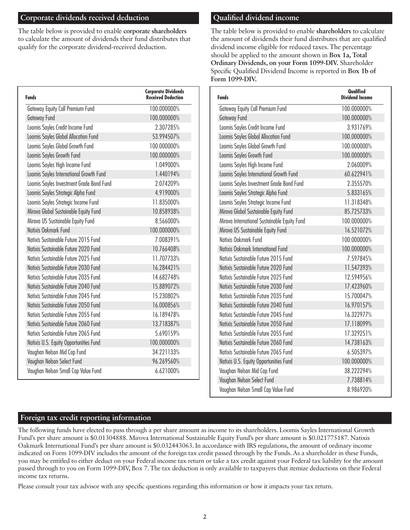# **Corporate dividends received deduction**

The table below is provided to enable **corporate shareholders** to calculate the amount of dividends their fund distributes that qualify for the corporate dividend-received deduction.

| <b>Funds</b>                             | <b>Corporate Dividends</b><br><b>Received Deduction</b> |  |  |  |
|------------------------------------------|---------------------------------------------------------|--|--|--|
| Gateway Equity Call Premium Fund         | 100.000000%                                             |  |  |  |
| Gateway Fund                             | 100.000000%                                             |  |  |  |
| Loomis Sayles Credit Income Fund         | 2.307285%                                               |  |  |  |
| Loomis Sayles Global Allocation Fund     | 53.994507%                                              |  |  |  |
| Loomis Sayles Global Growth Fund         | 100.000000%                                             |  |  |  |
| Loomis Sayles Growth Fund                | 100.000000%                                             |  |  |  |
| Loomis Sayles High Income Fund           | 1.049000%                                               |  |  |  |
| Loomis Sayles International Growth Fund  | 1.440194%                                               |  |  |  |
| Loomis Sayles Investment Grade Bond Fund | 2.074209%                                               |  |  |  |
| Loomis Sayles Strategic Alpha Fund       | 4.919000%                                               |  |  |  |
| Loomis Sayles Strategic Income Fund      | 11.835000%                                              |  |  |  |
| Mirova Global Sustainable Equity Fund    | 10.858938%                                              |  |  |  |
| Mirova US Sustainable Equity Fund        | 8.566000%                                               |  |  |  |
| Natixis Oakmark Fund                     | 100.000000%                                             |  |  |  |
| Natixis Sustainable Future 2015 Fund     | 7.008391%                                               |  |  |  |
| Natixis Sustainable Future 2020 Fund     | 10.766408%                                              |  |  |  |
| Natixis Sustainable Future 2025 Fund     | 11.707733%                                              |  |  |  |
| Natixis Sustainable Future 2030 Fund     | 16.284421%                                              |  |  |  |
| Natixis Sustainable Future 2035 Fund     | 14.682748%                                              |  |  |  |
| Natixis Sustainable Future 2040 Fund     | 15.889072%                                              |  |  |  |
| Natixis Sustainable Future 2045 Fund     | 15.230802%                                              |  |  |  |
| Natixis Sustainable Future 2050 Fund     | 16.000856%                                              |  |  |  |
| Natixis Sustainable Future 2055 Fund     | 16.189478%                                              |  |  |  |
| Natixis Sustainable Future 2060 Fund     | 13.718387%                                              |  |  |  |
| Natixis Sustainable Future 2065 Fund     | 5.690159%                                               |  |  |  |
| Natixis U.S. Equity Opportunities Fund   | 100.000000%                                             |  |  |  |
| Vaughan Nelson Mid Cap Fund              | 34.221133%                                              |  |  |  |
| Vaughan Nelson Select Fund               | 96.269560%                                              |  |  |  |
| Vaughan Nelson Small Cap Value Fund      | 6.621000%                                               |  |  |  |

# **Qualified dividend income**

The table below is provided to enable **shareholders** to calculate the amount of dividends their fund distributes that are qualified dividend income eligible for reduced taxes. The percentage should be applied to the amount shown in **Box 1a, Total Ordinary Dividends, on your Form 1099-DIV.** Shareholder Specific Qualified Dividend Income is reported in **Box 1b of Form 1099-DIV.** 

| <b>Funds</b>                                 | Qualified<br><b>Dividend Income</b> |  |  |
|----------------------------------------------|-------------------------------------|--|--|
| Gateway Equity Call Premium Fund             | 100.000000%                         |  |  |
| Gateway Fund                                 | 100.000000%                         |  |  |
| Loomis Sayles Credit Income Fund             | 3.931769%                           |  |  |
| Loomis Sayles Global Allocation Fund         | 100.000000%                         |  |  |
| Loomis Sayles Global Growth Fund             | 100.000000%                         |  |  |
| Loomis Sayles Growth Fund                    | 100.000000%                         |  |  |
| Loomis Sayles High Income Fund               | 2.060009%                           |  |  |
| Loomis Sayles International Growth Fund      | 60.622941%                          |  |  |
| Loomis Sayles Investment Grade Bond Fund     | 2.355570%                           |  |  |
| Loomis Sayles Strategic Alpha Fund           | 5.833165%                           |  |  |
| Loomis Sayles Strategic Income Fund          | 11.318348%                          |  |  |
| Mirova Global Sustainable Equity Fund        | 85.725733%                          |  |  |
| Mirova International Sustainable Equity Fund | 100.000000%                         |  |  |
| Mirova US Sustainable Equity Fund            | 16.521072%                          |  |  |
| Natixis Oakmark Fund                         | 100.000000%                         |  |  |
| Natixis Oakmark International Fund           | 100.000000%                         |  |  |
| Natixis Sustainable Future 2015 Fund         | 7.597845%                           |  |  |
| Natixis Sustainable Future 2020 Fund         | 11.547393%                          |  |  |
| Natixis Sustainable Future 2025 Fund         | 12.594956%                          |  |  |
| Natixis Sustainable Future 2030 Fund         | 17.423960%                          |  |  |
| Natixis Sustainable Future 2035 Fund         | 15.700047%                          |  |  |
| Natixis Sustainable Future 2040 Fund         | 16.970157%                          |  |  |
| Natixis Sustainable Future 2045 Fund         | 16.322977%                          |  |  |
| Natixis Sustainable Future 2050 Fund         | 17.118099%                          |  |  |
| Natixis Sustainable Future 2055 Fund         | 17.329251%                          |  |  |
| Natixis Sustainable Future 2060 Fund         | 14.738163%                          |  |  |
| Natixis Sustainable Future 2065 Fund         | 6.505397%                           |  |  |
| Natixis U.S. Equity Opportunities Fund       | 100.000000%                         |  |  |
| Vaughan Nelson Mid Cap Fund                  | 38.222294%                          |  |  |
| Vaughan Nelson Select Fund                   | 7.738814%                           |  |  |
| Vaughan Nelson Small Cap Value Fund          | 8.986920%                           |  |  |
|                                              |                                     |  |  |

## **Foreign tax credit reporting information**

The following funds have elected to pass through a per share amount as income to its shareholders. Loomis Sayles International Growth Fund's per share amount is \$0.01304888. Mirova International Sustainable Equity Fund's per share amount is \$0.021775187. Natixis Oakmark International Fund's per share amount is \$0.032443063. In accordance with IRS regulations, the amount of ordinary income indicated on Form 1099-DIV includes the amount of the foreign tax credit passed through by the Funds. As a shareholder in these Funds, you may be entitled to either deduct on your Federal income tax return or take a tax credit against your Federal tax liability for the amount passed through to you on Form 1099-DIV, Box 7. The tax deduction is only available to taxpayers that itemize deductions on their Federal income tax returns.

Please consult your tax advisor with any specific questions regarding this information or how it impacts your tax return.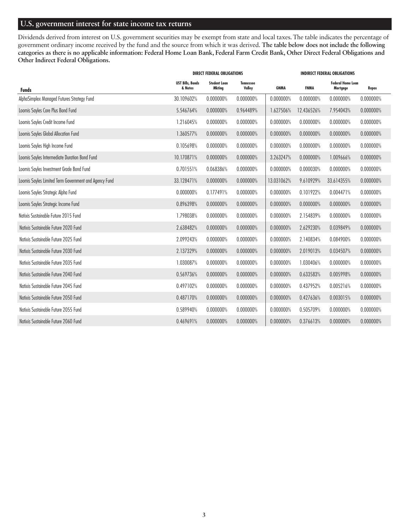# **U.S. government interest for state income tax returns**

Dividends derived from interest on U.S. government securities may be exempt from state and local taxes. The table indicates the percentage of government ordinary income received by the fund and the source from which it was derived. **The table below does not include the following categories as there is no applicable information: Federal Home Loan Bank, Federal Farm Credit Bank, Other Direct Federal Obligations and Other Indirect Federal Obligations.** 

| <b>DIRECT FEDERAL OBLIGATIONS</b>                     |                                    |                               |                            | <b>INDIRECT FEDERAL OBLIGATIONS</b> |             |                                      |           |  |
|-------------------------------------------------------|------------------------------------|-------------------------------|----------------------------|-------------------------------------|-------------|--------------------------------------|-----------|--|
| <b>Funds</b>                                          | <b>UST Bills, Bonds</b><br>& Notes | <b>Student Loan</b><br>Mkting | <b>Tennessee</b><br>Valley | <b>GNMA</b>                         | <b>FNMA</b> | <b>Federal Home Loan</b><br>Mortgage | Repos     |  |
| AlphaSimplex Managed Futures Strategy Fund            | 30.109602%                         | 0.000000%                     | 0.000000%                  | 0.000000%                           | 0.000000%   | 0.000000%                            | 0.000000% |  |
| Loomis Sayles Core Plus Bond Fund                     | 5.546764%                          | 0.000000%                     | 0.964489%                  | 1.627506%                           | 12.436526%  | 7.954043%                            | 0.000000% |  |
| Loomis Sayles Credit Income Fund                      | 1.216045%                          | 0.000000%                     | 0.000000%                  | 0.000000%                           | 0.000000%   | 0.000000%                            | 0.000000% |  |
| Loomis Sayles Global Allocation Fund                  | 1.360577%                          | 0.000000%                     | 0.000000%                  | 0.000000%                           | 0.000000%   | 0.000000%                            | 0.000000% |  |
| Loomis Sayles High Income Fund                        | 0.105698%                          | 0.000000%                     | 0.000000%                  | 0.000000%                           | 0.000000%   | 0.000000%                            | 0.000000% |  |
| Loomis Sayles Intermediate Duration Bond Fund         | 10.170871%                         | 0.000000%                     | 0.000000%                  | 3.263247%                           | 0.000000%   | 1.009666%                            | 0.000000% |  |
| Loomis Sayles Investment Grade Bond Fund              | 0.701551%                          | 0.068386%                     | 0.000000%                  | 0.000000%                           | 0.000030%   | 0.000000%                            | 0.000000% |  |
| Loomis Sayles Limited Term Government and Agency Fund | 33.128471%                         | 0.000000%                     | 0.000000%                  | 13.031062%                          | 9.610929%   | 33.614355%                           | 0.000000% |  |
| Loomis Sayles Strategic Alpha Fund                    | 0.000000%                          | 0.177491%                     | 0.000000%                  | 0.000000%                           | 0.101922%   | 0.004471%                            | 0.000000% |  |
| Loomis Sayles Strategic Income Fund                   | 0.896398%                          | 0.000000%                     | 0.000000%                  | 0.000000%                           | 0.000000%   | 0.000000%                            | 0.000000% |  |
| Natixis Sustainable Future 2015 Fund                  | 1.798038%                          | 0.000000%                     | 0.000000%                  | 0.000000%                           | 2.154839%   | 0.000000%                            | 0.000000% |  |
| Natixis Sustainable Future 2020 Fund                  | 2.638482%                          | 0.000000%                     | 0.000000%                  | 0.000000%                           | 2.629230%   | 0.039849%                            | 0.000000% |  |
| Natixis Sustainable Future 2025 Fund                  | 2.099243%                          | 0.000000%                     | 0.000000%                  | 0.000000%                           | 2.140834%   | 0.084900%                            | 0.000000% |  |
| Natixis Sustainable Future 2030 Fund                  | 2.137329%                          | 0.000000%                     | 0.000000%                  | 0.000000%                           | 2.019013%   | 0.034507%                            | 0.000000% |  |
| Natixis Sustainable Future 2035 Fund                  | 1.030087%                          | 0.000000%                     | 0.000000%                  | 0.000000%                           | 1.030406%   | 0.000000%                            | 0.000000% |  |
| Natixis Sustainable Future 2040 Fund                  | 0.569736%                          | 0.000000%                     | 0.000000%                  | 0.000000%                           | 0.633583%   | 0.005998%                            | 0.000000% |  |
| Natixis Sustainable Future 2045 Fund                  | 0.497102%                          | 0.000000%                     | 0.000000%                  | 0.000000%                           | 0.437952%   | 0.005216%                            | 0.000000% |  |
| Natixis Sustainable Future 2050 Fund                  | 0.487170%                          | 0.000000%                     | 0.000000%                  | 0.000000%                           | 0.427636%   | 0.003015%                            | 0.000000% |  |
| Natixis Sustainable Future 2055 Fund                  | 0.589940%                          | 0.000000%                     | 0.000000%                  | 0.000000%                           | 0.505709%   | 0.000000%                            | 0.000000% |  |
| Natixis Sustainable Future 2060 Fund                  | 0.469691%                          | 0.000000%                     | 0.000000%                  | 0.000000%                           | 0.376613%   | 0.000000%                            | 0.000000% |  |